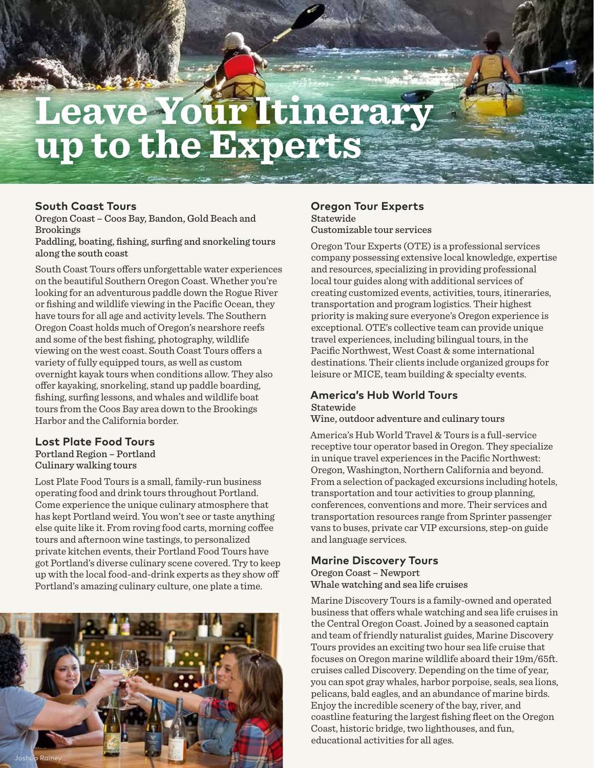# **Leave Your Itinerary up to the Experts**

#### **South Coast Tours**

along the south coast

Oregon Coast – Coos Bay, Bandon, Gold Beach and Brookings Paddling, boating, fishing, surfing and snorkeling tours

South Coast Tours offers unforgettable water experiences on the beautiful Southern Oregon Coast. Whether you're looking for an adventurous paddle down the Rogue River or fishing and wildlife viewing in the Pacific Ocean, they have tours for all age and activity levels. The Southern Oregon Coast holds much of Oregon's nearshore reefs and some of the best fishing, photography, wildlife viewing on the west coast. South Coast Tours offers a variety of fully equipped tours, as well as custom overnight kayak tours when conditions allow. They also offer kayaking, snorkeling, stand up paddle boarding, fishing, surfing lessons, and whales and wildlife boat tours from the Coos Bay area down to the Brookings Harbor and the California border.

## **Lost Plate Food Tours**

Portland Region – Portland Culinary walking tours

Lost Plate Food Tours is a small, family-run business operating food and drink tours throughout Portland. Come experience the unique culinary atmosphere that has kept Portland weird. You won't see or taste anything else quite like it. From roving food carts, morning coffee tours and afternoon wine tastings, to personalized private kitchen events, their Portland Food Tours have got Portland's diverse culinary scene covered. Try to keep up with the local food-and-drink experts as they show off Portland's amazing culinary culture, one plate a time.



#### **Oregon Tour Experts** Statewide Customizable tour services

Oregon Tour Experts (OTE) is a professional services company possessing extensive local knowledge, expertise and resources, specializing in providing professional local tour guides along with additional services of creating customized events, activities, tours, itineraries, transportation and program logistics. Their highest priority is making sure everyone's Oregon experience is exceptional. OTE's collective team can provide unique travel experiences, including bilingual tours, in the Pacific Northwest, West Coast & some international destinations. Their clients include organized groups for leisure or MICE, team building & specialty events.

# **America's Hub World Tours**

Statewide

Wine, outdoor adventure and culinary tours

America's Hub World Travel & Tours is a full-service receptive tour operator based in Oregon. They specialize in unique travel experiences in the Pacific Northwest: Oregon, Washington, Northern California and beyond. From a selection of packaged excursions including hotels, transportation and tour activities to group planning, conferences, conventions and more. Their services and transportation resources range from Sprinter passenger vans to buses, private car VIP excursions, step-on guide and language services.

#### **Marine Discovery Tours**

Oregon Coast – Newport Whale watching and sea life cruises

Marine Discovery Tours is a family-owned and operated business that offers whale watching and sea life cruises in the Central Oregon Coast. Joined by a seasoned captain and team of friendly naturalist guides, Marine Discovery Tours provides an exciting two hour sea life cruise that focuses on Oregon marine wildlife aboard their 19m/65ft. cruises called Discovery. Depending on the time of year, you can spot gray whales, harbor porpoise, seals, sea lions, pelicans, bald eagles, and an abundance of marine birds. Enjoy the incredible scenery of the bay, river, and coastline featuring the largest fishing fleet on the Oregon Coast, historic bridge, two lighthouses, and fun, educational activities for all ages.